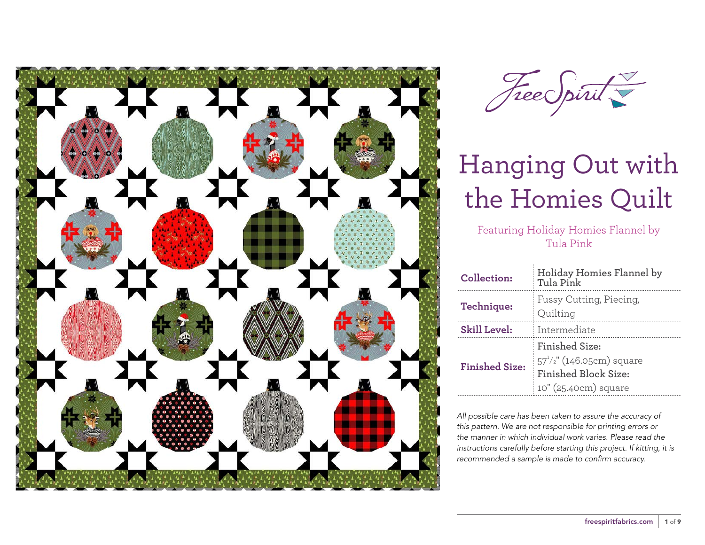



Featuring Holiday Homies Flannel by Tula Pink

| Collection:           | Holiday Homies Flannel by<br>Tula Pink                                                                         |  |  |
|-----------------------|----------------------------------------------------------------------------------------------------------------|--|--|
| Technique:            | Fussy Cutting, Piecing,<br>Quilting                                                                            |  |  |
| <b>Skill Level:</b>   | Intermediate                                                                                                   |  |  |
| <b>Finished Size:</b> | <b>Finished Size:</b><br>$57^{1/2}$ " (146.05cm) square<br><b>Finished Block Size:</b><br>10" (25.40cm) square |  |  |

*All possible care has been taken to assure the accuracy of this pattern. We are not responsible for printing errors or the manner in which individual work varies. Please read the instructions carefully before starting this project. If kitting, it is recommended a sample is made to confirm accuracy.*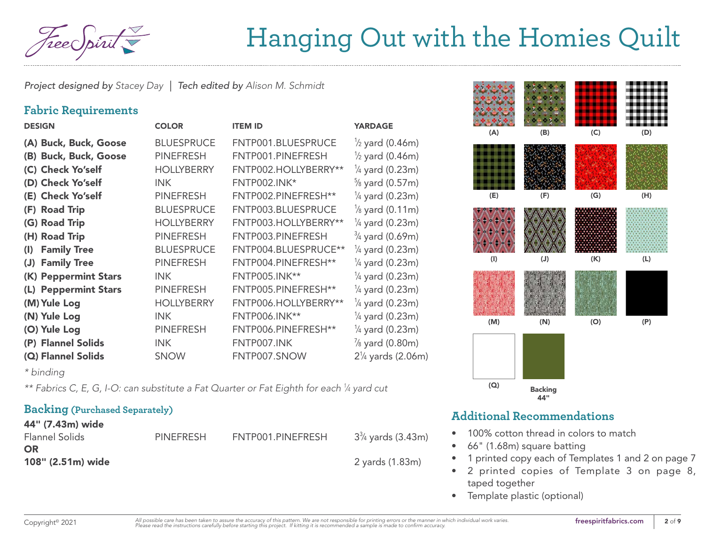

*Project designed by Stacey Day | Tech edited by Alison M. Schmidt*

### **Fabric Requirements**

| <b>DESIGN</b>                        | <b>COLOR</b>      | <b>ITEM ID</b>       | <b>YARDAGE</b>               |
|--------------------------------------|-------------------|----------------------|------------------------------|
| (A) Buck, Buck, Goose                | <b>BLUESPRUCE</b> | FNTP001.BLUESPRUCE   | $\frac{1}{2}$ yard (0.46m)   |
| <b>Buck, Buck, Goose</b><br>(B)      | <b>PINEFRESH</b>  | FNTP001.PINEFRESH    | $\frac{1}{2}$ yard (0.46m)   |
| (C) Check Yo'self                    | <b>HOLLYBERRY</b> | FNTP002.HOLLYBERRY** | $\frac{1}{4}$ yard (0.23m)   |
| (D) Check Yo'self                    | <b>INK</b>        | <b>FNTP002.INK*</b>  | $\frac{5}{8}$ yard (0.57m)   |
| (E) Check Yo'self                    | <b>PINEFRESH</b>  | FNTP002.PINEFRESH**  | $\frac{1}{4}$ yard (0.23m)   |
| (F) Road Trip                        | <b>BLUESPRUCE</b> | FNTP003.BLUESPRUCE   | $\frac{1}{8}$ yard (0.11m)   |
| (G) Road Trip                        | <b>HOLLYBERRY</b> | FNTP003.HOLLYBERRY** | $\frac{1}{4}$ yard (0.23m)   |
| (H) Road Trip                        | <b>PINEFRESH</b>  | FNTP003.PINEFRESH    | $\frac{3}{4}$ yard (0.69m)   |
| <b>Family Tree</b><br>(1)            | <b>BLUESPRUCE</b> | FNTP004.BLUESPRUCE** | $\frac{1}{4}$ yard (0.23m)   |
| <b>Family Tree</b><br>$(\mathsf{U})$ | <b>PINEFRESH</b>  | FNTP004.PINEFRESH**  | $\frac{1}{4}$ yard (0.23m)   |
| (K) Peppermint Stars                 | <b>INK</b>        | <b>FNTP005.INK**</b> | $\frac{1}{4}$ yard (0.23m)   |
| (L) Peppermint Stars                 | <b>PINEFRESH</b>  | FNTP005.PINEFRESH**  | $\frac{1}{4}$ yard (0.23m)   |
| (M) Yule Log                         | <b>HOLLYBERRY</b> | FNTP006.HOLLYBERRY** | $\frac{1}{4}$ yard (0.23m)   |
| (N) Yule Log                         | INK.              | <b>FNTP006.INK**</b> | $\frac{1}{4}$ yard (0.23m)   |
| (O) Yule Log                         | <b>PINEFRESH</b>  | FNTP006.PINEFRESH**  | $\frac{1}{4}$ yard (0.23m)   |
| (P) Flannel Solids                   | <b>INK</b>        | FNTP007.INK          | $\frac{7}{8}$ yard (0.80m)   |
| (Q) Flannel Solids                   | <b>SNOW</b>       | FNTP007.SNOW         | $2\frac{1}{4}$ yards (2.06m) |

*\* binding*

*\*\* Fabrics C, E, G, I-O: can substitute a Fat Quarter or Fat Eighth for each 1 ⁄4 yard cut*

### **Backing (Purchased Separately)**

#### 44" (7.43m) wide

| <b>Flannel Solids</b> | <b>PINEFRESH</b> | FNTP001.PINEFRESH | $3\%$ yards (3.43m) |
|-----------------------|------------------|-------------------|---------------------|
| OR                    |                  |                   |                     |
| 108" (2.51m) wide     |                  |                   | 2 yards (1.83m)     |



### **Additional Recommendations**

- 100% cotton thread in colors to match
- 66" (1.68m) square batting
- 1 printed copy each of [Templates 1 and 2 on page 7](#page-7-0)
- 2 printed copies of [Template 3 on page 8,](#page-8-0)  taped together
- Template plastic (optional)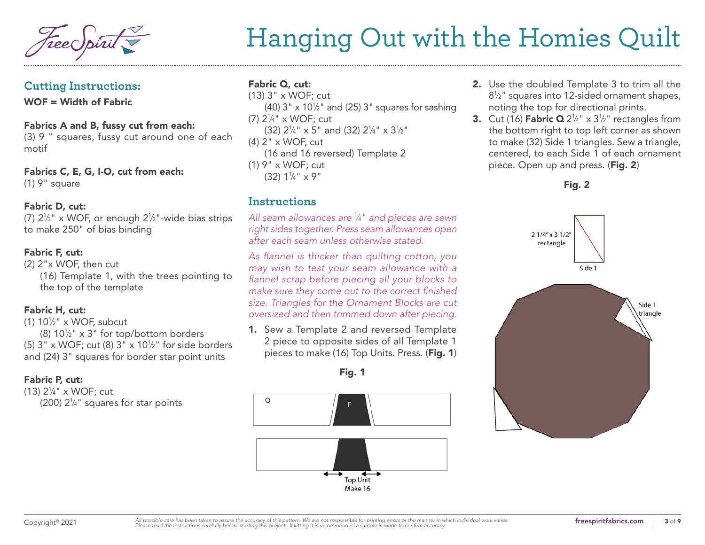#### **Cutting Instructions:**

WOF = Width of Fabric

#### Fabrics A and B, fussy cut from each:

(3) 9 " squares, fussy cut around one of each motif

Fabrics C, E, G, I-O, cut from each: (1) 9" square

#### Fabric D, cut:

(7)  $2\frac{1}{2}$ " x WOF, or enough  $2\frac{1}{2}$ "-wide bias strips to make 250" of bias binding

#### Fabric F, cut:

(2) 2"x WOF, then cut (16) Template 1, with the trees pointing to the top of the template

#### Fabric H, cut:

(1)  $10\frac{1}{2}$ " x WOF, subcut

(8)  $10\frac{1}{2}$ " x 3" for top/bottom borders (5)  $3" \times \text{WOF}$ ; cut (8)  $3" \times 10\frac{1}{2}$ " for side borders and (24) 3" squares for border star point units

#### Fabric P, cut:

(13) 21 ⁄4" x WOF; cut  $(200)$   $2\frac{1}{4}$ " squares for star points

### Fabric Q, cut:

(13) 3" x WOF; cut (40) 3"  $\times$  10½" and (25) 3" squares for sashing (7) 21 ⁄4" x WOF; cut  $(32)$  2<sup>1</sup>/<sub>4</sub>" x 5" and (32) 2<sup>1</sup>/<sub>4</sub>" x 3<sup>1</sup>/<sub>2</sub>" (4) 2" x WOF, cut (16 and 16 reversed) Template 2 (1) 9" x WOF; cut (32) 11 ⁄4" x 9"

### **Instructions**

*All seam allowances are 1 ⁄4" and pieces are sewn right sides together. Press seam allowances open after each seam unless otherwise stated.*

*As flannel is thicker than quilting cotton, you may wish to test your seam allowance with a flannel scrap before piecing all your blocks to make sure they come out to the correct finished size. Triangles for the Ornament Blocks are cut oversized and then trimmed down after piecing.* 

1. Sew a Template 2 and reversed Template 2 piece to opposite sides of all Template 1 pieces to make (16) Top Units. Press. (Fig. 1)

Fig. 1



- 2. Use the doubled Template 3 to trim all the  $8\frac{1}{2}$ " squares into 12-sided ornament shapes, noting the top for directional prints.
- **3.** Cut (16) **Fabric Q**  $2\frac{1}{4}$ " x  $3\frac{1}{2}$ " rectangles from the bottom right to top left corner as shown to make (32) Side 1 triangles. Sew a triangle, centered, to each Side 1 of each ornament piece. Open up and press. (Fig. 2)

#### Fig. 2

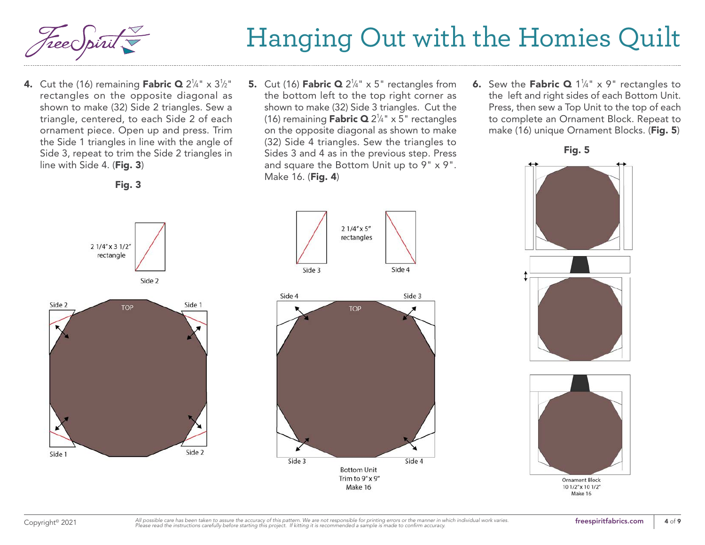

**4.** Cut the (16) remaining **Fabric Q** 2<sup>1</sup>/4" x 3<sup>1</sup>/2" rectangles on the opposite diagonal as shown to make (32) Side 2 triangles. Sew a triangle, centered, to each Side 2 of each ornament piece. Open up and press. Trim the Side 1 triangles in line with the angle of Side 3, repeat to trim the Side 2 triangles in line with Side 4. (Fig. 3)

Fig. 3

**5.** Cut (16) **Fabric Q**  $2\frac{1}{4}$ " x 5" rectangles from the bottom left to the top right corner as shown to make (32) Side 3 triangles. Cut the (16) remaining **Fabric Q** 2¼" x 5" rectangles on the opposite diagonal as shown to make (32) Side 4 triangles. Sew the triangles to Sides 3 and 4 as in the previous step. Press and square the Bottom Unit up to 9" x 9". Make 16. (Fig. 4)

> $21/4''$  x 5" rectangles

> > **TOP**

Side 3

Side 4

Side 3

**6.** Sew the **Fabric Q** 1¼" x 9" rectangles to the left and right sides of each Bottom Unit. Press, then sew a Top Unit to the top of each to complete an Ornament Block. Repeat to make (16) unique Ornament Blocks. (Fig. 5)



Fig. 5



10 1/2" x 10 1/2"

Make 16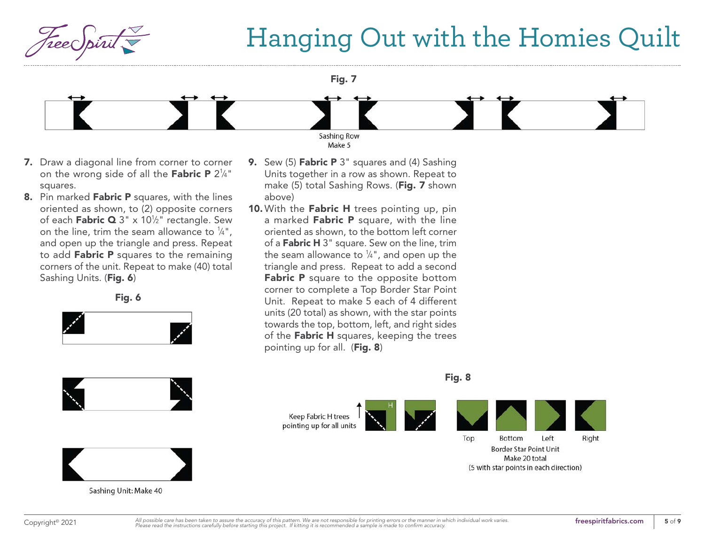

Fig. 7



- 7. Draw a diagonal line from corner to corner on the wrong side of all the **Fabric P** 2¼" squares.
- 8. Pin marked Fabric P squares, with the lines oriented as shown, to (2) opposite corners of each **Fabric Q** 3" x 10½" rectangle. Sew on the line, trim the seam allowance to  $\frac{1}{4}$ ", and open up the triangle and press. Repeat to add Fabric P squares to the remaining corners of the unit. Repeat to make (40) total Sashing Units. (Fig. 6)

Fig. 6







Sashing Unit: Make 40

- 9. Sew (5) Fabric P 3" squares and (4) Sashing Units together in a row as shown. Repeat to make (5) total Sashing Rows. (Fig. 7 shown above)
- 10. With the Fabric H trees pointing up, pin a marked Fabric P square, with the line oriented as shown, to the bottom left corner of a Fabric H 3" square. Sew on the line, trim the seam allowance to  $\frac{1}{4}$ ", and open up the triangle and press. Repeat to add a second Fabric P square to the opposite bottom corner to complete a Top Border Star Point Unit. Repeat to make 5 each of 4 different units (20 total) as shown, with the star points towards the top, bottom, left, and right sides of the Fabric H squares, keeping the trees pointing up for all. (Fig. 8)

pointing up for all units Top Bottom Left **Border Star Point Unit** Make 20 total

(5 with star points in each direction)

Fig. 8

Keep Fabric H trees

Right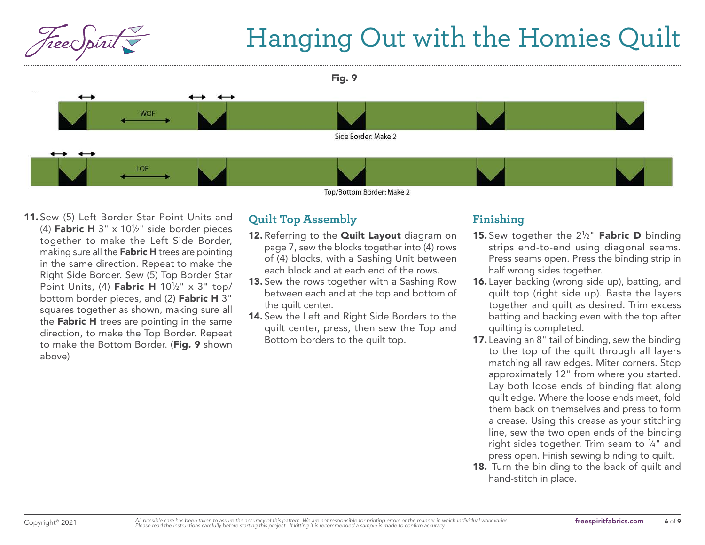



11. Sew (5) Left Border Star Point Units and (4) **Fabric H**  $3" \times 10\frac{1}{2}$  side border pieces together to make the Left Side Border, making sure all the **Fabric H** trees are pointing in the same direction. Repeat to make the Right Side Border. Sew (5) Top Border Star Point Units, (4) **Fabric H** 10<sup>1</sup>/<sub>2</sub>" x 3" top/ bottom border pieces, and (2) Fabric H 3" squares together as shown, making sure all the Fabric H trees are pointing in the same direction, to make the Top Border. Repeat to make the Bottom Border. (Fig. 9 shown above)

## **Quilt Top Assembly**

- 12. Referring to the **Quilt Layout** diagram on page 7, sew the blocks together into (4) rows of (4) blocks, with a Sashing Unit between each block and at each end of the rows.
- 13. Sew the rows together with a Sashing Row between each and at the top and bottom of the quilt center.
- 14. Sew the Left and Right Side Borders to the quilt center, press, then sew the Top and Bottom borders to the quilt top.

### **Finishing**

- **15.** Sew together the  $2\frac{1}{2}$ " **Fabric D** binding strips end-to-end using diagonal seams. Press seams open. Press the binding strip in half wrong sides together.
- 16. Layer backing (wrong side up), batting, and quilt top (right side up). Baste the layers together and quilt as desired. Trim excess batting and backing even with the top after quilting is completed.
- 17. Leaving an 8" tail of binding, sew the binding to the top of the quilt through all layers matching all raw edges. Miter corners. Stop approximately 12" from where you started. Lay both loose ends of binding flat along quilt edge. Where the loose ends meet, fold them back on themselves and press to form a crease. Using this crease as your stitching line, sew the two open ends of the binding right sides together. Trim seam to  $\frac{1}{4}$ " and press open. Finish sewing binding to quilt.
- 18. Turn the bin ding to the back of quilt and hand-stitch in place.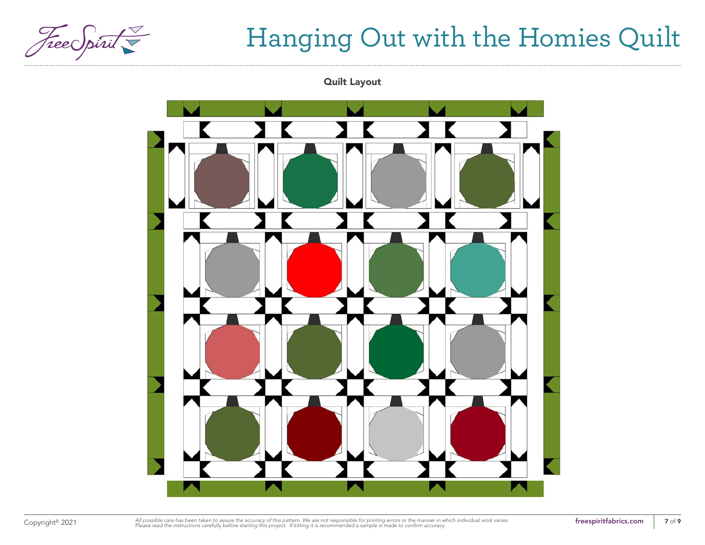

Quilt Layout



Copyright<sup>®</sup> 2021 *All* possible care has been taken to assure the accuracy of this pattern. We are not responsible for printing errors or the manner in which individual work varies. **The section that interappiritfabrics.c**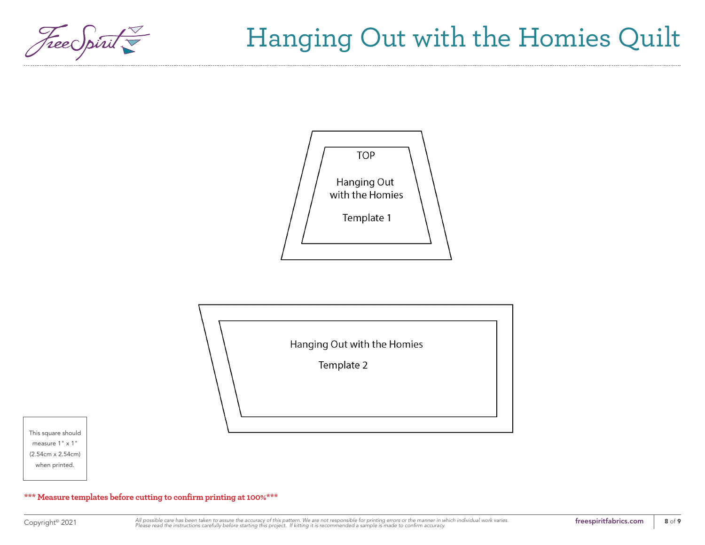<span id="page-7-0"></span>





This square should measure 1" x 1" (2.54cm x 2.54cm) when printed.

**\*\*\* Measure templates before cutting to confirm printing at 100%\*\*\***